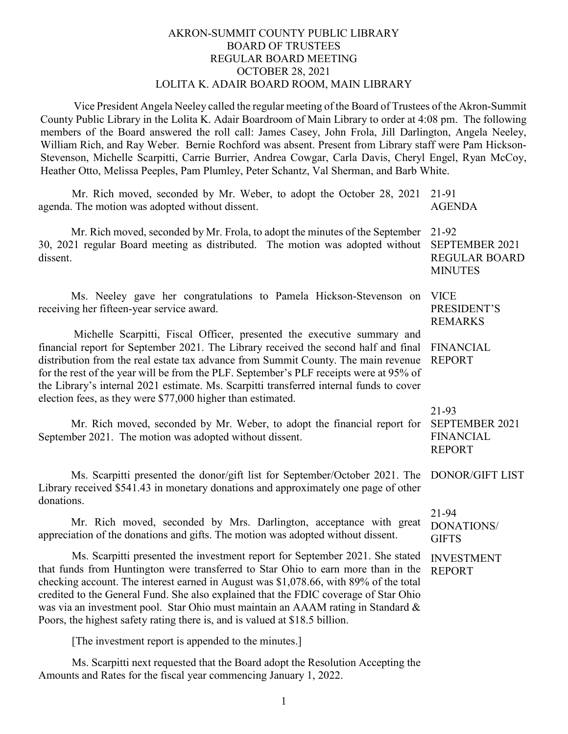## AKRON-SUMMIT COUNTY PUBLIC LIBRARY BOARD OF TRUSTEES REGULAR BOARD MEETING OCTOBER 28, 2021 LOLITA K. ADAIR BOARD ROOM, MAIN LIBRARY

Vice President Angela Neeley called the regular meeting of the Board of Trustees of the Akron-Summit County Public Library in the Lolita K. Adair Boardroom of Main Library to order at 4:08 pm. The following members of the Board answered the roll call: James Casey, John Frola, Jill Darlington, Angela Neeley, William Rich, and Ray Weber. Bernie Rochford was absent. Present from Library staff were Pam Hickson-Stevenson, Michelle Scarpitti, Carrie Burrier, Andrea Cowgar, Carla Davis, Cheryl Engel, Ryan McCoy, Heather Otto, Melissa Peeples, Pam Plumley, Peter Schantz, Val Sherman, and Barb White.

| Mr. Rich moved, seconded by Mr. Weber, to adopt the October 28, 2021<br>agenda. The motion was adopted without dissent.                                                                                                                                                                                                                                                                                                                                                                                               | 21-91<br><b>AGENDA</b>                                            |
|-----------------------------------------------------------------------------------------------------------------------------------------------------------------------------------------------------------------------------------------------------------------------------------------------------------------------------------------------------------------------------------------------------------------------------------------------------------------------------------------------------------------------|-------------------------------------------------------------------|
| Mr. Rich moved, seconded by Mr. Frola, to adopt the minutes of the September<br>30, 2021 regular Board meeting as distributed. The motion was adopted without<br>dissent.                                                                                                                                                                                                                                                                                                                                             | 21-92<br>SEPTEMBER 2021<br><b>REGULAR BOARD</b><br><b>MINUTES</b> |
| Ms. Neeley gave her congratulations to Pamela Hickson-Stevenson on<br>receiving her fifteen-year service award.                                                                                                                                                                                                                                                                                                                                                                                                       | <b>VICE</b><br>PRESIDENT'S<br><b>REMARKS</b>                      |
| Michelle Scarpitti, Fiscal Officer, presented the executive summary and<br>financial report for September 2021. The Library received the second half and final<br>distribution from the real estate tax advance from Summit County. The main revenue<br>for the rest of the year will be from the PLF. September's PLF receipts were at 95% of<br>the Library's internal 2021 estimate. Ms. Scarpitti transferred internal funds to cover<br>election fees, as they were \$77,000 higher than estimated.              | <b>FINANCIAL</b><br><b>REPORT</b>                                 |
| Mr. Rich moved, seconded by Mr. Weber, to adopt the financial report for<br>September 2021. The motion was adopted without dissent.                                                                                                                                                                                                                                                                                                                                                                                   | 21-93<br>SEPTEMBER 2021<br><b>FINANCIAL</b><br><b>REPORT</b>      |
| Ms. Scarpitti presented the donor/gift list for September/October 2021. The<br>Library received \$541.43 in monetary donations and approximately one page of other<br>donations.                                                                                                                                                                                                                                                                                                                                      | DONOR/GIFT LIST                                                   |
| Mr. Rich moved, seconded by Mrs. Darlington, acceptance with great<br>appreciation of the donations and gifts. The motion was adopted without dissent.                                                                                                                                                                                                                                                                                                                                                                | 21-94<br><b>DONATIONS/</b><br><b>GIFTS</b>                        |
| Ms. Scarpitti presented the investment report for September 2021. She stated<br>that funds from Huntington were transferred to Star Ohio to earn more than in the<br>checking account. The interest earned in August was \$1,078.66, with 89% of the total<br>credited to the General Fund. She also explained that the FDIC coverage of Star Ohio<br>was via an investment pool. Star Ohio must maintain an AAAM rating in Standard &<br>Poors, the highest safety rating there is, and is valued at \$18.5 billion. | <b>INVESTMENT</b><br><b>REPORT</b>                                |
| [The investment report is appended to the minutes.]                                                                                                                                                                                                                                                                                                                                                                                                                                                                   |                                                                   |

Ms. Scarpitti next requested that the Board adopt the Resolution Accepting the Amounts and Rates for the fiscal year commencing January 1, 2022.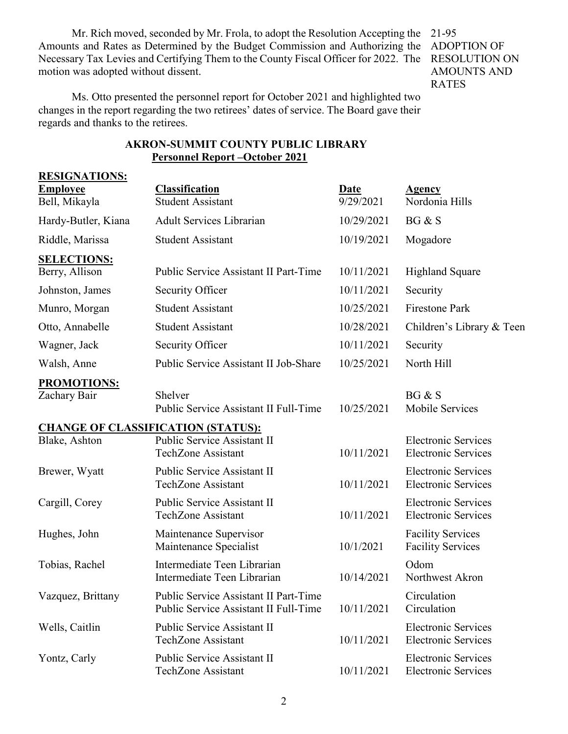Mr. Rich moved, seconded by Mr. Frola, to adopt the Resolution Accepting the Amounts and Rates as Determined by the Budget Commission and Authorizing the ADOPTION OF Necessary Tax Levies and Certifying Them to the County Fiscal Officer for 2022. The motion was adopted without dissent.

21-95 RESOLUTION ON AMOUNTS AND RATES

Ms. Otto presented the personnel report for October 2021 and highlighted two changes in the report regarding the two retirees' dates of service. The Board gave their regards and thanks to the retirees.

| <b>RESIGNATIONS:</b>               |                                                                                |                          |                                                          |
|------------------------------------|--------------------------------------------------------------------------------|--------------------------|----------------------------------------------------------|
| <b>Employee</b><br>Bell, Mikayla   | <b>Classification</b><br><b>Student Assistant</b>                              | <b>Date</b><br>9/29/2021 | <b>Agency</b><br>Nordonia Hills                          |
| Hardy-Butler, Kiana                | <b>Adult Services Librarian</b>                                                | 10/29/2021               | BG & S                                                   |
| Riddle, Marissa                    | <b>Student Assistant</b>                                                       | 10/19/2021               | Mogadore                                                 |
| <b>SELECTIONS:</b>                 |                                                                                |                          |                                                          |
| Berry, Allison                     | Public Service Assistant II Part-Time                                          | 10/11/2021               | <b>Highland Square</b>                                   |
| Johnston, James                    | Security Officer                                                               | 10/11/2021               | Security                                                 |
| Munro, Morgan                      | <b>Student Assistant</b>                                                       | 10/25/2021               | <b>Firestone Park</b>                                    |
| Otto, Annabelle                    | <b>Student Assistant</b>                                                       | 10/28/2021               | Children's Library & Teen                                |
| Wagner, Jack                       | Security Officer                                                               | 10/11/2021               | Security                                                 |
| Walsh, Anne                        | Public Service Assistant II Job-Share                                          | 10/25/2021               | North Hill                                               |
| <b>PROMOTIONS:</b><br>Zachary Bair | Shelver<br>Public Service Assistant II Full-Time                               | 10/25/2021               | BG & S<br>Mobile Services                                |
|                                    | <b>CHANGE OF CLASSIFICATION (STATUS):</b>                                      |                          |                                                          |
| Blake, Ashton                      | Public Service Assistant II<br><b>TechZone Assistant</b>                       | 10/11/2021               | <b>Electronic Services</b><br><b>Electronic Services</b> |
| Brewer, Wyatt                      | Public Service Assistant II<br><b>TechZone Assistant</b>                       | 10/11/2021               | <b>Electronic Services</b><br><b>Electronic Services</b> |
| Cargill, Corey                     | Public Service Assistant II<br><b>TechZone Assistant</b>                       | 10/11/2021               | <b>Electronic Services</b><br><b>Electronic Services</b> |
| Hughes, John                       | Maintenance Supervisor<br>Maintenance Specialist                               | 10/1/2021                | <b>Facility Services</b><br><b>Facility Services</b>     |
| Tobias, Rachel                     | Intermediate Teen Librarian<br>Intermediate Teen Librarian                     | 10/14/2021               | Odom<br>Northwest Akron                                  |
| Vazquez, Brittany                  | Public Service Assistant II Part-Time<br>Public Service Assistant II Full-Time | 10/11/2021               | Circulation<br>Circulation                               |
| Wells, Caitlin                     | Public Service Assistant II<br><b>TechZone Assistant</b>                       | 10/11/2021               | <b>Electronic Services</b><br><b>Electronic Services</b> |
| Yontz, Carly                       | Public Service Assistant II<br><b>TechZone Assistant</b>                       | 10/11/2021               | <b>Electronic Services</b><br><b>Electronic Services</b> |

## **AKRON-SUMMIT COUNTY PUBLIC LIBRARY Personnel Report –October 2021**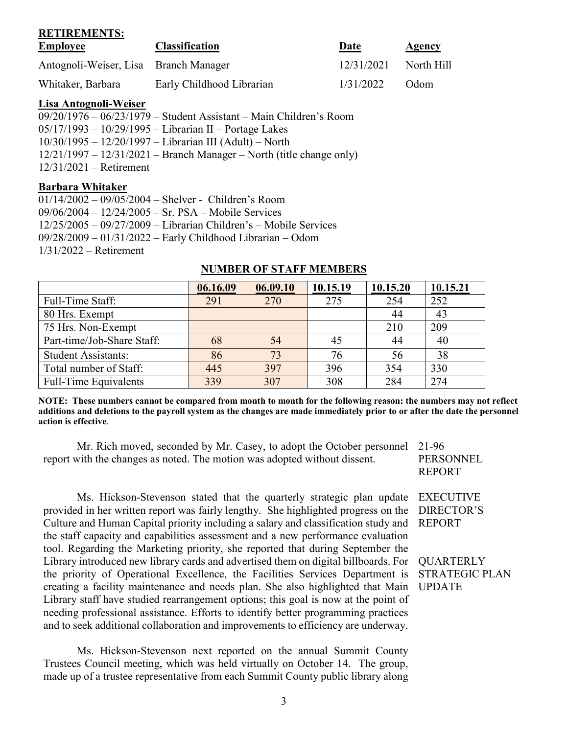| KEIIKEMENIS:<br><b>Employee</b>       | <b>Classification</b>     | Date       | <b>Agency</b> |
|---------------------------------------|---------------------------|------------|---------------|
| Antognoli-Weiser, Lisa Branch Manager |                           | 12/31/2021 | North Hill    |
| Whitaker, Barbara                     | Early Childhood Librarian | 1/31/2022  | Odom          |

#### **Lisa Antognoli-Weiser**

**RETIREMENTS:**

| $09/20/1976 - 06/23/1979 -$ Student Assistant – Main Children's Room   |
|------------------------------------------------------------------------|
| $05/17/1993 - 10/29/1995 - Librarian II - Portage Lakes$               |
| $10/30/1995 - 12/20/1997 - Librarian III (Adult) - North$              |
| $12/21/1997 - 12/31/2021$ – Branch Manager – North (title change only) |
| $12/31/2021$ – Retirement                                              |

### **Barbara Whitaker**

| $01/14/2002 - 09/05/2004 - 8$ helver - Children's Room             |  |
|--------------------------------------------------------------------|--|
| $09/06/2004 - 12/24/2005 - Sr$ . PSA - Mobile Services             |  |
| $12/25/2005 - 09/27/2009 - Librarian Children's - Mobile Services$ |  |
| $09/28/2009 - 01/31/2022 -$ Early Childhood Librarian - Odom       |  |
| $1/31/2022$ – Retirement                                           |  |

# **06.16.09 06.09.10 10.15.19 10.15.20 10.15.21** Full-Time Staff: 291 270 275 254 252 80 Hrs. Exempt 1 23 75 Hrs. Non-Exempt 210 209 Part-time/Job-Share Staff:  $\begin{array}{|c|c|c|c|c|c|c|c|c|} \hline 68 & 54 & 45 & 44 & 40 \\ \hline \end{array}$ Student Assistants: 86 73 76 56 38 Total number of Staff:  $\begin{array}{|c|c|c|c|c|c|c|} \hline 445 & 397 & 396 & 354 & 330 \ \hline \end{array}$ Full-Time Equivalents 1 339 307 308 284 274

#### **NUMBER OF STAFF MEMBERS**

**NOTE: These numbers cannot be compared from month to month for the following reason: the numbers may not reflect additions and deletions to the payroll system as the changes are made immediately prior to or after the date the personnel action is effective**.

Mr. Rich moved, seconded by Mr. Casey, to adopt the October personnel 21-96 report with the changes as noted. The motion was adopted without dissent.

Ms. Hickson-Stevenson stated that the quarterly strategic plan update provided in her written report was fairly lengthy. She highlighted progress on the Culture and Human Capital priority including a salary and classification study and the staff capacity and capabilities assessment and a new performance evaluation tool. Regarding the Marketing priority, she reported that during September the Library introduced new library cards and advertised them on digital billboards. For the priority of Operational Excellence, the Facilities Services Department is creating a facility maintenance and needs plan. She also highlighted that Main Library staff have studied rearrangement options; this goal is now at the point of needing professional assistance. Efforts to identify better programming practices and to seek additional collaboration and improvements to efficiency are underway.

Ms. Hickson-Stevenson next reported on the annual Summit County Trustees Council meeting, which was held virtually on October 14. The group, made up of a trustee representative from each Summit County public library along

PERSONNEL REPORT

EXECUTIVE DIRECTOR'S REPORT

**QUARTERLY** STRATEGIC PLAN UPDATE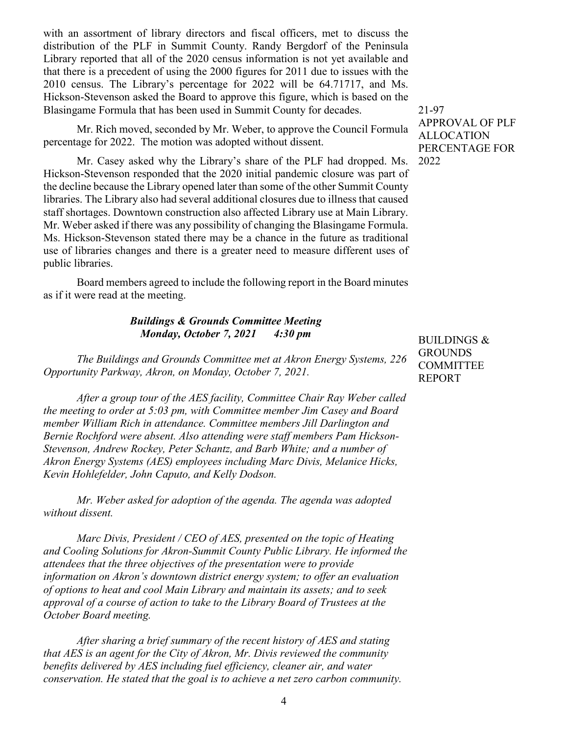with an assortment of library directors and fiscal officers, met to discuss the distribution of the PLF in Summit County. Randy Bergdorf of the Peninsula Library reported that all of the 2020 census information is not yet available and that there is a precedent of using the 2000 figures for 2011 due to issues with the 2010 census. The Library's percentage for 2022 will be 64.71717, and Ms. Hickson-Stevenson asked the Board to approve this figure, which is based on the Blasingame Formula that has been used in Summit County for decades.

Mr. Rich moved, seconded by Mr. Weber, to approve the Council Formula percentage for 2022. The motion was adopted without dissent.

Mr. Casey asked why the Library's share of the PLF had dropped. Ms. Hickson-Stevenson responded that the 2020 initial pandemic closure was part of the decline because the Library opened later than some of the other Summit County libraries. The Library also had several additional closures due to illness that caused staff shortages. Downtown construction also affected Library use at Main Library. Mr. Weber asked if there was any possibility of changing the Blasingame Formula. Ms. Hickson-Stevenson stated there may be a chance in the future as traditional use of libraries changes and there is a greater need to measure different uses of public libraries.

Board members agreed to include the following report in the Board minutes as if it were read at the meeting.

## *Buildings & Grounds Committee Meeting Monday, October 7, 2021 4:30 pm*

*The Buildings and Grounds Committee met at Akron Energy Systems, 226 Opportunity Parkway, Akron, on Monday, October 7, 2021.* 

*After a group tour of the AES facility, Committee Chair Ray Weber called the meeting to order at 5:03 pm, with Committee member Jim Casey and Board member William Rich in attendance. Committee members Jill Darlington and Bernie Rochford were absent. Also attending were staff members Pam Hickson-Stevenson, Andrew Rockey, Peter Schantz, and Barb White; and a number of Akron Energy Systems (AES) employees including Marc Divis, Melanice Hicks, Kevin Hohlefelder, John Caputo, and Kelly Dodson.* 

*Mr. Weber asked for adoption of the agenda. The agenda was adopted without dissent.* 

*Marc Divis, President / CEO of AES, presented on the topic of Heating and Cooling Solutions for Akron-Summit County Public Library. He informed the attendees that the three objectives of the presentation were to provide information on Akron's downtown district energy system; to offer an evaluation of options to heat and cool Main Library and maintain its assets; and to seek approval of a course of action to take to the Library Board of Trustees at the October Board meeting.*

*After sharing a brief summary of the recent history of AES and stating that AES is an agent for the City of Akron, Mr. Divis reviewed the community benefits delivered by AES including fuel efficiency, cleaner air, and water conservation. He stated that the goal is to achieve a net zero carbon community.*  21-97 APPROVAL OF PLF ALLOCATION PERCENTAGE FOR 2022

BUILDINGS & **GROUNDS** COMMITTEE REPORT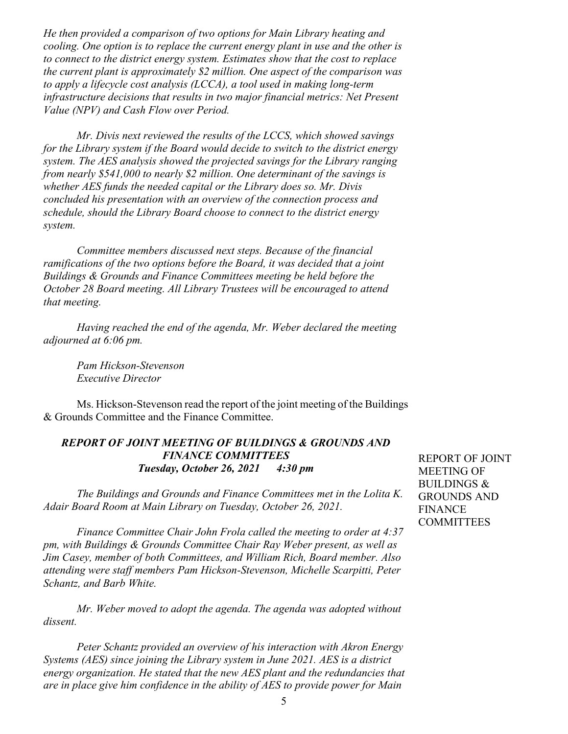*He then provided a comparison of two options for Main Library heating and cooling. One option is to replace the current energy plant in use and the other is to connect to the district energy system. Estimates show that the cost to replace the current plant is approximately \$2 million. One aspect of the comparison was to apply a lifecycle cost analysis (LCCA), a tool used in making long-term infrastructure decisions that results in two major financial metrics: Net Present Value (NPV) and Cash Flow over Period.*

*Mr. Divis next reviewed the results of the LCCS, which showed savings for the Library system if the Board would decide to switch to the district energy system. The AES analysis showed the projected savings for the Library ranging from nearly \$541,000 to nearly \$2 million. One determinant of the savings is whether AES funds the needed capital or the Library does so. Mr. Divis concluded his presentation with an overview of the connection process and schedule, should the Library Board choose to connect to the district energy system.*

*Committee members discussed next steps. Because of the financial ramifications of the two options before the Board, it was decided that a joint Buildings & Grounds and Finance Committees meeting be held before the October 28 Board meeting. All Library Trustees will be encouraged to attend that meeting.*

*Having reached the end of the agenda, Mr. Weber declared the meeting adjourned at 6:06 pm.*

*Pam Hickson-Stevenson Executive Director*

Ms. Hickson-Stevenson read the report of the joint meeting of the Buildings & Grounds Committee and the Finance Committee.

# *REPORT OF JOINT MEETING OF BUILDINGS & GROUNDS AND FINANCE COMMITTEES Tuesday, October 26, 2021 4:30 pm*

*The Buildings and Grounds and Finance Committees met in the Lolita K. Adair Board Room at Main Library on Tuesday, October 26, 2021.* 

*Finance Committee Chair John Frola called the meeting to order at 4:37 pm, with Buildings & Grounds Committee Chair Ray Weber present, as well as Jim Casey, member of both Committees, and William Rich, Board member. Also attending were staff members Pam Hickson-Stevenson, Michelle Scarpitti, Peter Schantz, and Barb White.* 

*Mr. Weber moved to adopt the agenda. The agenda was adopted without dissent.* 

*Peter Schantz provided an overview of his interaction with Akron Energy Systems (AES) since joining the Library system in June 2021. AES is a district energy organization. He stated that the new AES plant and the redundancies that are in place give him confidence in the ability of AES to provide power for Main* 

REPORT OF JOINT MEETING OF BUILDINGS & GROUNDS AND FINANCE **COMMITTEES**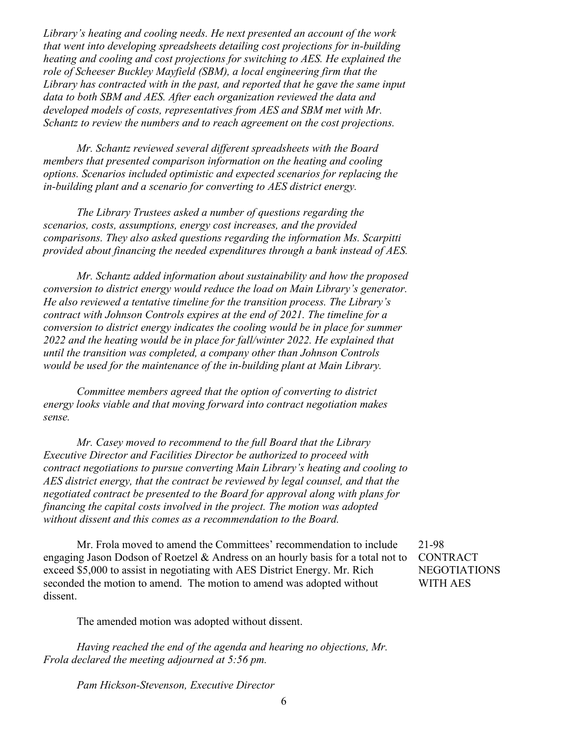*Library's heating and cooling needs. He next presented an account of the work that went into developing spreadsheets detailing cost projections for in-building heating and cooling and cost projections for switching to AES. He explained the role of Scheeser Buckley Mayfield (SBM), a local engineering firm that the Library has contracted with in the past, and reported that he gave the same input data to both SBM and AES. After each organization reviewed the data and developed models of costs, representatives from AES and SBM met with Mr. Schantz to review the numbers and to reach agreement on the cost projections.*

*Mr. Schantz reviewed several different spreadsheets with the Board members that presented comparison information on the heating and cooling options. Scenarios included optimistic and expected scenarios for replacing the in-building plant and a scenario for converting to AES district energy.*

*The Library Trustees asked a number of questions regarding the scenarios, costs, assumptions, energy cost increases, and the provided comparisons. They also asked questions regarding the information Ms. Scarpitti provided about financing the needed expenditures through a bank instead of AES.* 

*Mr. Schantz added information about sustainability and how the proposed conversion to district energy would reduce the load on Main Library's generator. He also reviewed a tentative timeline for the transition process. The Library's contract with Johnson Controls expires at the end of 2021. The timeline for a conversion to district energy indicates the cooling would be in place for summer 2022 and the heating would be in place for fall/winter 2022. He explained that until the transition was completed, a company other than Johnson Controls would be used for the maintenance of the in-building plant at Main Library.*

*Committee members agreed that the option of converting to district energy looks viable and that moving forward into contract negotiation makes sense.* 

*Mr. Casey moved to recommend to the full Board that the Library Executive Director and Facilities Director be authorized to proceed with contract negotiations to pursue converting Main Library's heating and cooling to AES district energy, that the contract be reviewed by legal counsel, and that the negotiated contract be presented to the Board for approval along with plans for financing the capital costs involved in the project. The motion was adopted without dissent and this comes as a recommendation to the Board.*

Mr. Frola moved to amend the Committees' recommendation to include engaging Jason Dodson of Roetzel & Andress on an hourly basis for a total not to exceed \$5,000 to assist in negotiating with AES District Energy. Mr. Rich seconded the motion to amend. The motion to amend was adopted without dissent.

The amended motion was adopted without dissent.

*Having reached the end of the agenda and hearing no objections, Mr. Frola declared the meeting adjourned at 5:56 pm.*

*Pam Hickson-Stevenson, Executive Director*

21-98 CONTRACT NEGOTIATIONS WITH AES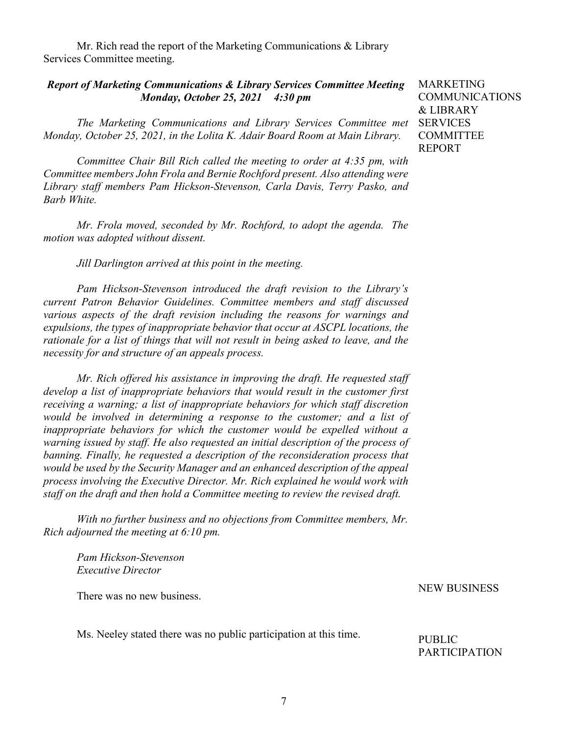Mr. Rich read the report of the Marketing Communications & Library Services Committee meeting.

### *Report of Marketing Communications & Library Services Committee Meeting Monday, October 25, 2021 4:30 pm*

*The Marketing Communications and Library Services Committee met*  SERVICES *Monday, October 25, 2021, in the Lolita K. Adair Board Room at Main Library.* 

*Committee Chair Bill Rich called the meeting to order at 4:35 pm, with Committee members John Frola and Bernie Rochford present. Also attending were Library staff members Pam Hickson-Stevenson, Carla Davis, Terry Pasko, and Barb White.*

*Mr. Frola moved, seconded by Mr. Rochford, to adopt the agenda. The motion was adopted without dissent.*

*Jill Darlington arrived at this point in the meeting.*

*Pam Hickson-Stevenson introduced the draft revision to the Library's current Patron Behavior Guidelines. Committee members and staff discussed various aspects of the draft revision including the reasons for warnings and expulsions, the types of inappropriate behavior that occur at ASCPL locations, the rationale for a list of things that will not result in being asked to leave, and the necessity for and structure of an appeals process.* 

*Mr. Rich offered his assistance in improving the draft. He requested staff develop a list of inappropriate behaviors that would result in the customer first receiving a warning; a list of inappropriate behaviors for which staff discretion would be involved in determining a response to the customer; and a list of inappropriate behaviors for which the customer would be expelled without a warning issued by staff. He also requested an initial description of the process of banning. Finally, he requested a description of the reconsideration process that would be used by the Security Manager and an enhanced description of the appeal process involving the Executive Director. Mr. Rich explained he would work with staff on the draft and then hold a Committee meeting to review the revised draft.*

*With no further business and no objections from Committee members, Mr. Rich adjourned the meeting at 6:10 pm.*

*Pam Hickson-Stevenson Executive Director*

There was no new business.

Ms. Neeley stated there was no public participation at this time.

MARKETING COMMUNICATIONS & LIBRARY **COMMITTEE** REPORT

NEW BUSINESS

PUBLIC PARTICIPATION